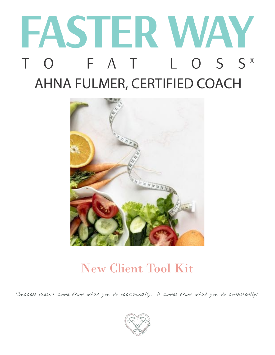# FASTER WAY TO FAT LOSS® AHNA FULMER, CERTIFIED COACH



### New Client Tool Kit

"Success doesn't come from what you do occasionally. It comes from what you do consistently."

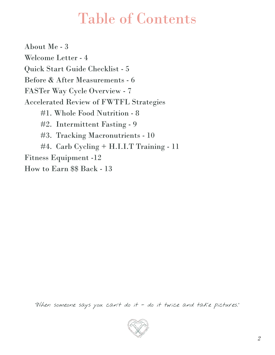## Table of Contents

 About Me - 3 Welcome Letter - 4 Quick Start Guide Checklist - 5 Before & After Measurements - 6 FASTer Way Cycle Overview - 7 Accelerated Review of FWTFL Strategies #1. Whole Food Nutrition - 8 #2. Intermittent Fasting - 9 #3. Tracking Macronutrients - 10 #4. Carb Cycling + H.I.I.T Training - 11 Fitness Equipment -12 How to Earn \$\$ Back - 13

"When someone says you can't do it - do it twice and take pictures."

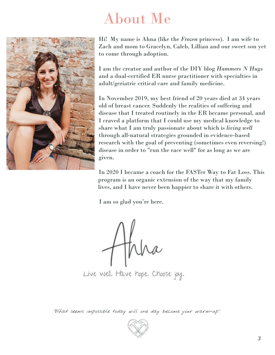# About Me



Hi! My name is Ahna (like the *Frozen* princess). I am wife to Zach and mom to Gracelyn, Caleb, Lillian and our sweet son yet to come through adoption.

I am the creator and author of the DIY blog *Hammers N Hugs*  and a dual-certified ER nurse practitioner with specialties in adult/geriatric critical care and family medicine.

In November 2019, my best friend of 20 years died at 34 years old of breast cancer. Suddenly the realities of suffering and disease that I treated routinely in the ER became personal, and I craved a platform that I could use my medical knowledge to share what I am truly passionate about which is *living well*  through all-natural strategies grounded in evidence-based research with the goal of preventing (sometimes even reversing!) disease in order to "run the race well" for as long as we are given.

In 2020 I became a coach for the FASTer Way to Fat Loss. This program is an organic extension of the way that my family lives, and I have never been happier to share it with others.

I am so glad you're here.

thira

Live Well. Have hope. Choose joy.

"What seems impossible today will one day become your warm-up."